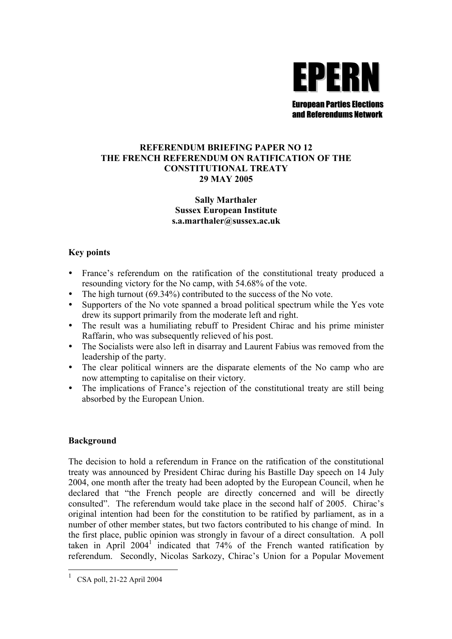

#### **REFERENDUM BRIEFING PAPER NO 12 THE FRENCH REFERENDUM ON RATIFICATION OF THE CONSTITUTIONAL TREATY 29 MAY 2005**

## **Sally Marthaler Sussex European Institute s.a.marthaler@sussex.ac.uk**

# **Key points**

- France's referendum on the ratification of the constitutional treaty produced a resounding victory for the No camp, with 54.68% of the vote.
- The high turnout  $(69.34\%)$  contributed to the success of the No vote.
- Supporters of the No vote spanned a broad political spectrum while the Yes vote drew its support primarily from the moderate left and right.
- The result was a humiliating rebuff to President Chirac and his prime minister Raffarin, who was subsequently relieved of his post.
- The Socialists were also left in disarray and Laurent Fabius was removed from the leadership of the party.
- The clear political winners are the disparate elements of the No camp who are now attempting to capitalise on their victory.
- The implications of France's rejection of the constitutional treaty are still being absorbed by the European Union.

## **Background**

The decision to hold a referendum in France on the ratification of the constitutional treaty was announced by President Chirac during his Bastille Day speech on 14 July 2004, one month after the treaty had been adopted by the European Council, when he declared that "the French people are directly concerned and will be directly consulted". The referendum would take place in the second half of 2005. Chirac's original intention had been for the constitution to be ratified by parliament, as in a number of other member states, but two factors contributed to his change of mind. In the first place, public opinion was strongly in favour of a direct consultation. A poll taken in April 2004<sup>[1](#page-0-0)</sup> indicated that 74% of the French wanted ratification by referendum. Secondly, Nicolas Sarkozy, Chirac's Union for a Popular Movement

 $\overline{a}$ 

<span id="page-0-0"></span><sup>1</sup> CSA poll, 21-22 April 2004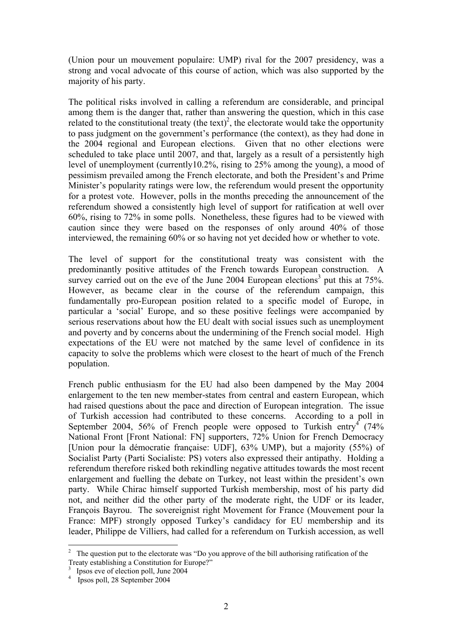(Union pour un mouvement populaire: UMP) rival for the 2007 presidency, was a strong and vocal advocate of this course of action, which was also supported by the majority of his party.

The political risks involved in calling a referendum are considerable, and principal among them is the danger that, rather than answering the question, which in this case related to the constitutional treaty (the text)<sup>2</sup>[,](#page-1-0) the electorate would take the opportunity to pass judgment on the government's performance (the context), as they had done in the 2004 regional and European elections. Given that no other elections were scheduled to take place until 2007, and that, largely as a result of a persistently high level of unemployment (currently10.2%, rising to 25% among the young), a mood of pessimism prevailed among the French electorate, and both the President's and Prime Minister's popularity ratings were low, the referendum would present the opportunity for a protest vote. However, polls in the months preceding the announcement of the referendum showed a consistently high level of support for ratification at well over 60%, rising to 72% in some polls. Nonetheless, these figures had to be viewed with caution since they were based on the responses of only around 40% of those interviewed, the remaining 60% or so having not yet decided how or whether to vote.

The level of support for the constitutional treaty was consistent with the predominantly positive attitudes of the French towards European construction. A survey carried out on the eve of the June 2004 European elections<sup>[3](#page-1-1)</sup> put this at  $75\%$ . However, as became clear in the course of the referendum campaign, this fundamentally pro-European position related to a specific model of Europe, in particular a 'social' Europe, and so these positive feelings were accompanied by serious reservations about how the EU dealt with social issues such as unemployment and poverty and by concerns about the undermining of the French social model. High expectations of the EU were not matched by the same level of confidence in its capacity to solve the problems which were closest to the heart of much of the French population.

French public enthusiasm for the EU had also been dampened by the May 2004 enlargement to the ten new member-states from central and eastern European, which had raised questions about the pace and direction of European integration. The issue of Turkish accession had contributed to these concerns. According to a poll in September 200[4](#page-1-2), 56% of French people were opposed to Turkish entry  $(74\%$ National Front [Front National: FN] supporters, 72% Union for French Democracy [Union pour la démocratie française: UDF], 63% UMP), but a majority (55%) of Socialist Party (Parti Socialiste: PS) voters also expressed their antipathy. Holding a referendum therefore risked both rekindling negative attitudes towards the most recent enlargement and fuelling the debate on Turkey, not least within the president's own party. While Chirac himself supported Turkish membership, most of his party did not, and neither did the other party of the moderate right, the UDF or its leader, François Bayrou. The sovereignist right Movement for France (Mouvement pour la France: MPF) strongly opposed Turkey's candidacy for EU membership and its leader, Philippe de Villiers, had called for a referendum on Turkish accession, as well

 $\overline{a}$ 

<span id="page-1-0"></span><sup>&</sup>lt;sup>2</sup> The question put to the electorate was "Do you approve of the bill authorising ratification of the Treaty establishing a Constitution for Europe?"<br><sup>3</sup> Ipsos eve of election poll. June 2004

<span id="page-1-1"></span><sup>&</sup>lt;sup>3</sup> Ipsos eve of election poll, June 2004<br><sup>4</sup> Ipsos poll, 28 September 2004

<span id="page-1-2"></span>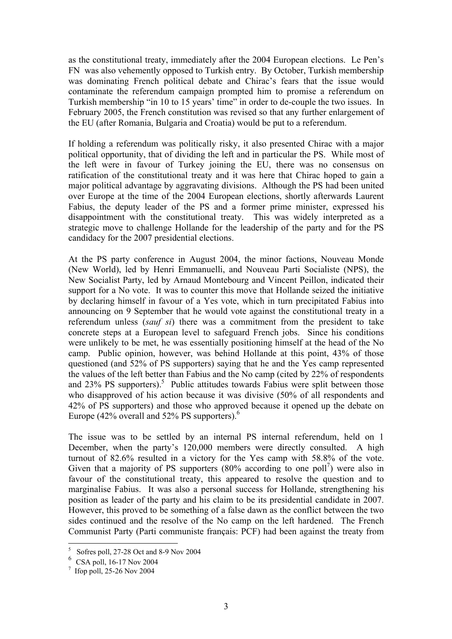as the constitutional treaty, immediately after the 2004 European elections. Le Pen's FN was also vehemently opposed to Turkish entry. By October, Turkish membership was dominating French political debate and Chirac's fears that the issue would contaminate the referendum campaign prompted him to promise a referendum on Turkish membership "in 10 to 15 years' time" in order to de-couple the two issues. In February 2005, the French constitution was revised so that any further enlargement of the EU (after Romania, Bulgaria and Croatia) would be put to a referendum.

If holding a referendum was politically risky, it also presented Chirac with a major political opportunity, that of dividing the left and in particular the PS. While most of the left were in favour of Turkey joining the EU, there was no consensus on ratification of the constitutional treaty and it was here that Chirac hoped to gain a major political advantage by aggravating divisions. Although the PS had been united over Europe at the time of the 2004 European elections, shortly afterwards Laurent Fabius, the deputy leader of the PS and a former prime minister, expressed his disappointment with the constitutional treaty. This was widely interpreted as a strategic move to challenge Hollande for the leadership of the party and for the PS candidacy for the 2007 presidential elections.

At the PS party conference in August 2004, the minor factions, Nouveau Monde (New World), led by Henri Emmanuelli, and Nouveau Parti Socialiste (NPS), the New Socialist Party, led by Arnaud Montebourg and Vincent Peillon, indicated their support for a No vote. It was to counter this move that Hollande seized the initiative by declaring himself in favour of a Yes vote, which in turn precipitated Fabius into announcing on 9 September that he would vote against the constitutional treaty in a referendum unless (*sauf si*) there was a commitment from the president to take concrete steps at a European level to safeguard French jobs. Since his conditions were unlikely to be met, he was essentially positioning himself at the head of the No camp. Public opinion, however, was behind Hollande at this point, 43% of those questioned (and 52% of PS supporters) saying that he and the Yes camp represented the values of the left better than Fabius and the No camp (cited by 22% of respondents and  $23\%$  PS supporters).<sup>5</sup> Public attitudes towards Fabius were split between those who disapproved of his action because it was divisive (50% of all respondents and 42% of PS supporters) and those who approved because it opened up the debate on Europe (42% overall and 52% PS supporters). $6$ 

The issue was to be settled by an internal PS internal referendum, held on 1 December, when the party's 120,000 members were directly consulted. A high turnout of 82.6% resulted in a victory for the Yes camp with 58.8% of the vote. Given that a majority of PS supporters  $(80\% \text{ according to one poll}^7)$  $(80\% \text{ according to one poll}^7)$  were also in favour of the constitutional treaty, this appeared to resolve the question and to marginalise Fabius. It was also a personal success for Hollande, strengthening his position as leader of the party and his claim to be its presidential candidate in 2007. However, this proved to be something of a false dawn as the conflict between the two sides continued and the resolve of the No camp on the left hardened. The French Communist Party (Parti communiste français: PCF) had been against the treaty from

 $\overline{a}$ 

<span id="page-2-0"></span><sup>5</sup> Sofres poll, 27-28 Oct and 8-9 Nov 2004

<span id="page-2-1"></span> $^{6}$  CSA poll, 16-17 Nov 2004

<span id="page-2-2"></span> $\frac{7}{1}$  Ifop poll, 25-26 Nov 2004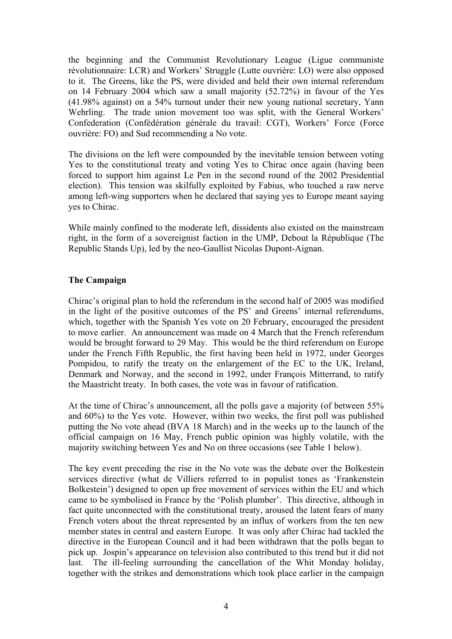the beginning and the Communist Revolutionary League (Ligue communiste révolutionnaire: LCR) and Workers' Struggle (Lutte ouvrière: LO) were also opposed to it. The Greens, like the PS, were divided and held their own internal referendum on 14 February 2004 which saw a small majority (52.72%) in favour of the Yes (41.98% against) on a 54% turnout under their new young national secretary, Yann Wehrling. The trade union movement too was split, with the General Workers' Confederation (Confédération générale du travail: CGT), Workers' Force (Force ouvrière: FO) and Sud recommending a No vote.

The divisions on the left were compounded by the inevitable tension between voting Yes to the constitutional treaty and voting Yes to Chirac once again (having been forced to support him against Le Pen in the second round of the 2002 Presidential election). This tension was skilfully exploited by Fabius, who touched a raw nerve among left-wing supporters when he declared that saying yes to Europe meant saying yes to Chirac.

While mainly confined to the moderate left, dissidents also existed on the mainstream right, in the form of a sovereignist faction in the UMP, Debout la République (The Republic Stands Up), led by the neo-Gaullist Nicolas Dupont-Aignan.

## **The Campaign**

Chirac's original plan to hold the referendum in the second half of 2005 was modified in the light of the positive outcomes of the PS' and Greens' internal referendums, which, together with the Spanish Yes vote on 20 February, encouraged the president to move earlier. An announcement was made on 4 March that the French referendum would be brought forward to 29 May. This would be the third referendum on Europe under the French Fifth Republic, the first having been held in 1972, under Georges Pompidou, to ratify the treaty on the enlargement of the EC to the UK, Ireland, Denmark and Norway, and the second in 1992, under François Mitterrand, to ratify the Maastricht treaty. In both cases, the vote was in favour of ratification.

At the time of Chirac's announcement, all the polls gave a majority (of between 55% and 60%) to the Yes vote. However, within two weeks, the first poll was published putting the No vote ahead (BVA 18 March) and in the weeks up to the launch of the official campaign on 16 May, French public opinion was highly volatile, with the majority switching between Yes and No on three occasions (see Table 1 below).

The key event preceding the rise in the No vote was the debate over the Bolkestein services directive (what de Villiers referred to in populist tones as 'Frankenstein Bolkestein') designed to open up free movement of services within the EU and which came to be symbolised in France by the 'Polish plumber'. This directive, although in fact quite unconnected with the constitutional treaty, aroused the latent fears of many French voters about the threat represented by an influx of workers from the ten new member states in central and eastern Europe. It was only after Chirac had tackled the directive in the European Council and it had been withdrawn that the polls began to pick up. Jospin's appearance on television also contributed to this trend but it did not last. The ill-feeling surrounding the cancellation of the Whit Monday holiday, together with the strikes and demonstrations which took place earlier in the campaign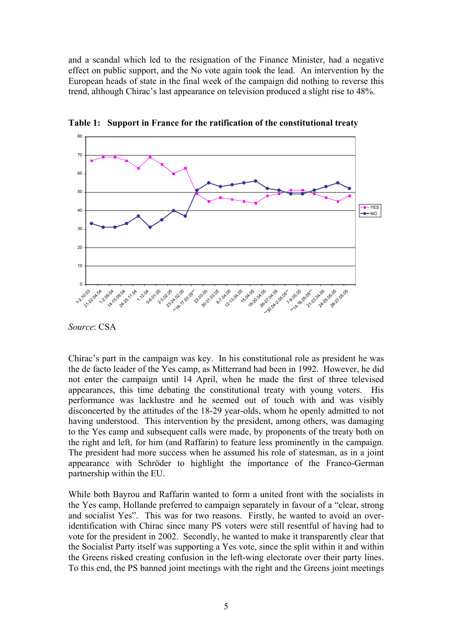and a scandal which led to the resignation of the Finance Minister, had a negative effect on public support, and the No vote again took the lead. An intervention by the European heads of state in the final week of the campaign did nothing to reverse this trend, although Chirac's last appearance on television produced a slight rise to 48%.



**Table 1: Support in France for the ratification of the constitutional treaty** 

*Source*: CSA

Chirac's part in the campaign was key. In his constitutional role as president he was the de facto leader of the Yes camp, as Mitterrand had been in 1992. However, he did not enter the campaign until 14 April, when he made the first of three televised appearances, this time debating the constitutional treaty with young voters. His performance was lacklustre and he seemed out of touch with and was visibly disconcerted by the attitudes of the 18-29 year-olds, whom he openly admitted to not having understood. This intervention by the president, among others, was damaging to the Yes camp and subsequent calls were made, by proponents of the treaty both on the right and left, for him (and Raffarin) to feature less prominently in the campaign. The president had more success when he assumed his role of statesman, as in a joint appearance with Schröder to highlight the importance of the Franco-German partnership within the EU.

While both Bayrou and Raffarin wanted to form a united front with the socialists in the Yes camp, Hollande preferred to campaign separately in favour of a "clear, strong and socialist Yes". This was for two reasons. Firstly, he wanted to avoid an overidentification with Chirac since many PS voters were still resentful of having had to vote for the president in 2002. Secondly, he wanted to make it transparently clear that the Socialist Party itself was supporting a Yes vote, since the split within it and within the Greens risked creating confusion in the left-wing electorate over their party lines. To this end, the PS banned joint meetings with the right and the Greens joint meetings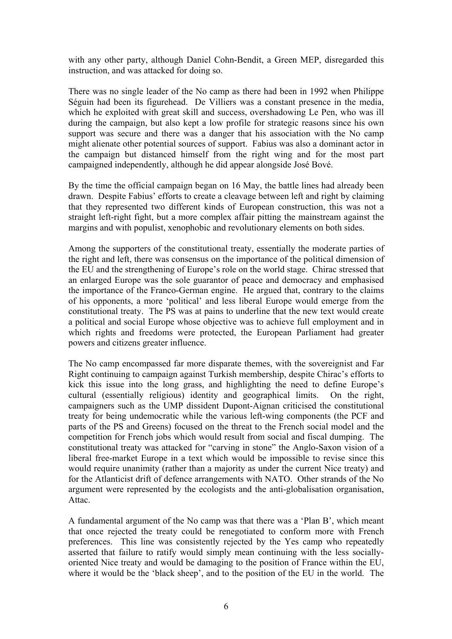with any other party, although Daniel Cohn-Bendit, a Green MEP, disregarded this instruction, and was attacked for doing so.

There was no single leader of the No camp as there had been in 1992 when Philippe Séguin had been its figurehead. De Villiers was a constant presence in the media, which he exploited with great skill and success, overshadowing Le Pen, who was ill during the campaign, but also kept a low profile for strategic reasons since his own support was secure and there was a danger that his association with the No camp might alienate other potential sources of support. Fabius was also a dominant actor in the campaign but distanced himself from the right wing and for the most part campaigned independently, although he did appear alongside José Bové.

By the time the official campaign began on 16 May, the battle lines had already been drawn. Despite Fabius' efforts to create a cleavage between left and right by claiming that they represented two different kinds of European construction, this was not a straight left-right fight, but a more complex affair pitting the mainstream against the margins and with populist, xenophobic and revolutionary elements on both sides.

Among the supporters of the constitutional treaty, essentially the moderate parties of the right and left, there was consensus on the importance of the political dimension of the EU and the strengthening of Europe's role on the world stage. Chirac stressed that an enlarged Europe was the sole guarantor of peace and democracy and emphasised the importance of the Franco-German engine. He argued that, contrary to the claims of his opponents, a more 'political' and less liberal Europe would emerge from the constitutional treaty. The PS was at pains to underline that the new text would create a political and social Europe whose objective was to achieve full employment and in which rights and freedoms were protected, the European Parliament had greater powers and citizens greater influence.

The No camp encompassed far more disparate themes, with the sovereignist and Far Right continuing to campaign against Turkish membership, despite Chirac's efforts to kick this issue into the long grass, and highlighting the need to define Europe's cultural (essentially religious) identity and geographical limits. On the right, campaigners such as the UMP dissident Dupont-Aignan criticised the constitutional treaty for being undemocratic while the various left-wing components (the PCF and parts of the PS and Greens) focused on the threat to the French social model and the competition for French jobs which would result from social and fiscal dumping. The constitutional treaty was attacked for "carving in stone" the Anglo-Saxon vision of a liberal free-market Europe in a text which would be impossible to revise since this would require unanimity (rather than a majority as under the current Nice treaty) and for the Atlanticist drift of defence arrangements with NATO. Other strands of the No argument were represented by the ecologists and the anti-globalisation organisation, Attac.

A fundamental argument of the No camp was that there was a 'Plan B', which meant that once rejected the treaty could be renegotiated to conform more with French preferences. This line was consistently rejected by the Yes camp who repeatedly asserted that failure to ratify would simply mean continuing with the less sociallyoriented Nice treaty and would be damaging to the position of France within the EU, where it would be the 'black sheep', and to the position of the EU in the world. The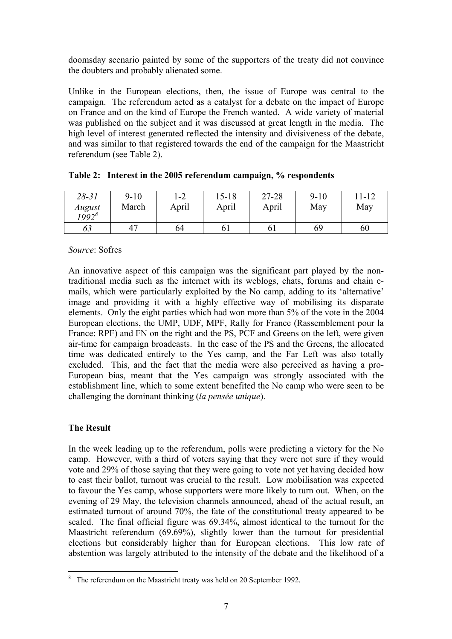doomsday scenario painted by some of the supporters of the treaty did not convince the doubters and probably alienated some.

Unlike in the European elections, then, the issue of Europe was central to the campaign. The referendum acted as a catalyst for a debate on the impact of Europe on France and on the kind of Europe the French wanted. A wide variety of material was published on the subject and it was discussed at great length in the media. The high level of interest generated reflected the intensity and divisiveness of the debate, and was similar to that registered towards the end of the campaign for the Maastricht referendum (see Table 2).

| $28 - 31$<br>August<br>$1992^8$ | $9-10$<br>March | 1-2<br>April | 15-18<br>April | 27-28<br>April | $9-10$<br>May | 11-12<br>May |
|---------------------------------|-----------------|--------------|----------------|----------------|---------------|--------------|
| 63                              | 47              | 64           |                | 61             | 69            | 60           |

| Table 2: Interest in the 2005 referendum campaign, % respondents |  |  |  |  |
|------------------------------------------------------------------|--|--|--|--|
|------------------------------------------------------------------|--|--|--|--|

*Source*: Sofres

An innovative aspect of this campaign was the significant part played by the nontraditional media such as the internet with its weblogs, chats, forums and chain emails, which were particularly exploited by the No camp, adding to its 'alternative' image and providing it with a highly effective way of mobilising its disparate elements. Only the eight parties which had won more than 5% of the vote in the 2004 European elections, the UMP, UDF, MPF, Rally for France (Rassemblement pour la France: RPF) and FN on the right and the PS, PCF and Greens on the left, were given air-time for campaign broadcasts. In the case of the PS and the Greens, the allocated time was dedicated entirely to the Yes camp, and the Far Left was also totally excluded. This, and the fact that the media were also perceived as having a pro-European bias, meant that the Yes campaign was strongly associated with the establishment line, which to some extent benefited the No camp who were seen to be challenging the dominant thinking (*la pensée unique*).

## **The Result**

In the week leading up to the referendum, polls were predicting a victory for the No camp. However, with a third of voters saying that they were not sure if they would vote and 29% of those saying that they were going to vote not yet having decided how to cast their ballot, turnout was crucial to the result. Low mobilisation was expected to favour the Yes camp, whose supporters were more likely to turn out. When, on the evening of 29 May, the television channels announced, ahead of the actual result, an estimated turnout of around 70%, the fate of the constitutional treaty appeared to be sealed. The final official figure was 69.34%, almost identical to the turnout for the Maastricht referendum (69.69%), slightly lower than the turnout for presidential elections but considerably higher than for European elections. This low rate of abstention was largely attributed to the intensity of the debate and the likelihood of a

<span id="page-6-0"></span><sup>&</sup>lt;sup>8</sup> The referendum on the Maastricht treaty was held on 20 September 1992.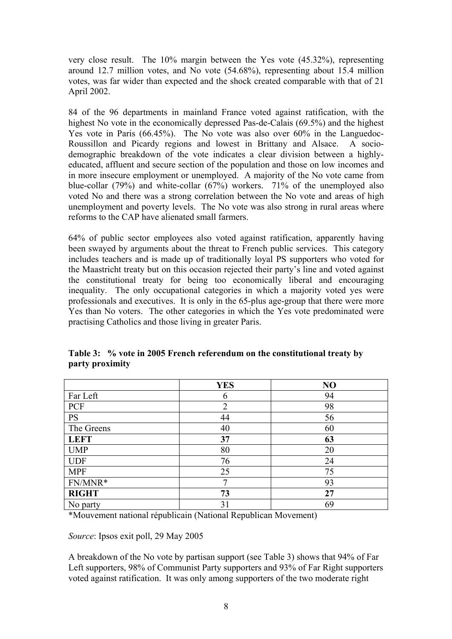very close result. The 10% margin between the Yes vote (45.32%), representing around 12.7 million votes, and No vote (54.68%), representing about 15.4 million votes, was far wider than expected and the shock created comparable with that of 21 April 2002.

84 of the 96 departments in mainland France voted against ratification, with the highest No vote in the economically depressed Pas-de-Calais (69.5%) and the highest Yes vote in Paris (66.45%). The No vote was also over 60% in the Languedoc-Roussillon and Picardy regions and lowest in Brittany and Alsace. A sociodemographic breakdown of the vote indicates a clear division between a highlyeducated, affluent and secure section of the population and those on low incomes and in more insecure employment or unemployed. A majority of the No vote came from blue-collar (79%) and white-collar (67%) workers. 71% of the unemployed also voted No and there was a strong correlation between the No vote and areas of high unemployment and poverty levels. The No vote was also strong in rural areas where reforms to the CAP have alienated small farmers.

64% of public sector employees also voted against ratification, apparently having been swayed by arguments about the threat to French public services. This category includes teachers and is made up of traditionally loyal PS supporters who voted for the Maastricht treaty but on this occasion rejected their party's line and voted against the constitutional treaty for being too economically liberal and encouraging inequality. The only occupational categories in which a majority voted yes were professionals and executives. It is only in the 65-plus age-group that there were more Yes than No voters. The other categories in which the Yes vote predominated were practising Catholics and those living in greater Paris.

|              | <b>YES</b>     | N <sub>O</sub> |
|--------------|----------------|----------------|
| Far Left     | $\mathfrak b$  | 94             |
| PCF          | $\overline{2}$ | 98             |
| <b>PS</b>    | 44             | 56             |
| The Greens   | 40             | 60             |
| <b>LEFT</b>  | 37             | 63             |
| <b>UMP</b>   | 80             | 20             |
| <b>UDF</b>   | 76             | 24             |
| <b>MPF</b>   | 25             | 75             |
| FN/MNR*      | ⇁              | 93             |
| <b>RIGHT</b> | 73             | 27             |
| No party     | 31             | 69             |

**Table 3: % vote in 2005 French referendum on the constitutional treaty by party proximity** 

\*Mouvement national républicain (National Republican Movement)

*Source*: Ipsos exit poll, 29 May 2005

A breakdown of the No vote by partisan support (see Table 3) shows that 94% of Far Left supporters, 98% of Communist Party supporters and 93% of Far Right supporters voted against ratification. It was only among supporters of the two moderate right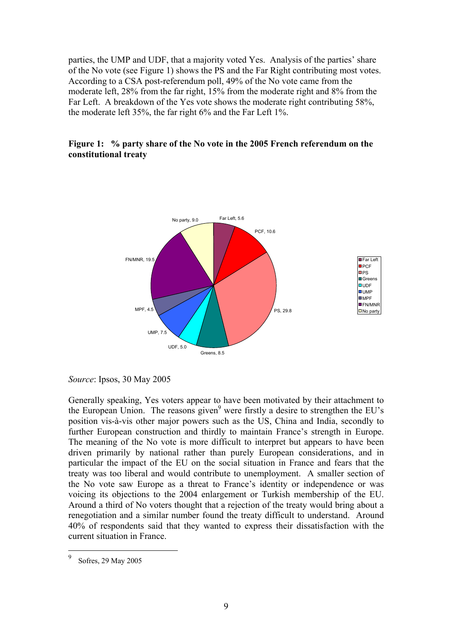parties, the UMP and UDF, that a majority voted Yes. Analysis of the parties' share of the No vote (see Figure 1) shows the PS and the Far Right contributing most votes. According to a CSA post-referendum poll, 49% of the No vote came from the moderate left, 28% from the far right, 15% from the moderate right and 8% from the Far Left. A breakdown of the Yes vote shows the moderate right contributing 58%, the moderate left 35%, the far right 6% and the Far Left 1%.

#### **Figure 1: % party share of the No vote in the 2005 French referendum on the constitutional treaty**



*Source*: Ipsos, 30 May 2005

Generally speaking, Yes voters appear to have been motivated by their attachment to the European Union. The reasons given<sup>9</sup> were firstly a desire to strengthen the EU's position vis-à-vis other major powers such as the US, China and India, secondly to further European construction and thirdly to maintain France's strength in Europe. The meaning of the No vote is more difficult to interpret but appears to have been driven primarily by national rather than purely European considerations, and in particular the impact of the EU on the social situation in France and fears that the treaty was too liberal and would contribute to unemployment. A smaller section of the No vote saw Europe as a threat to France's identity or independence or was voicing its objections to the 2004 enlargement or Turkish membership of the EU. Around a third of No voters thought that a rejection of the treaty would bring about a renegotiation and a similar number found the treaty difficult to understand. Around 40% of respondents said that they wanted to express their dissatisfaction with the current situation in France.

<span id="page-8-0"></span> 9 Sofres, 29 May 2005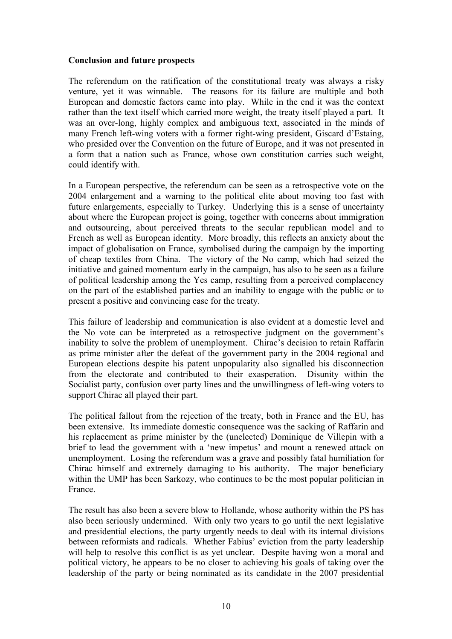#### **Conclusion and future prospects**

The referendum on the ratification of the constitutional treaty was always a risky venture, yet it was winnable. The reasons for its failure are multiple and both European and domestic factors came into play. While in the end it was the context rather than the text itself which carried more weight, the treaty itself played a part. It was an over-long, highly complex and ambiguous text, associated in the minds of many French left-wing voters with a former right-wing president, Giscard d'Estaing, who presided over the Convention on the future of Europe, and it was not presented in a form that a nation such as France, whose own constitution carries such weight, could identify with.

In a European perspective, the referendum can be seen as a retrospective vote on the 2004 enlargement and a warning to the political elite about moving too fast with future enlargements, especially to Turkey. Underlying this is a sense of uncertainty about where the European project is going, together with concerns about immigration and outsourcing, about perceived threats to the secular republican model and to French as well as European identity. More broadly, this reflects an anxiety about the impact of globalisation on France, symbolised during the campaign by the importing of cheap textiles from China. The victory of the No camp, which had seized the initiative and gained momentum early in the campaign, has also to be seen as a failure of political leadership among the Yes camp, resulting from a perceived complacency on the part of the established parties and an inability to engage with the public or to present a positive and convincing case for the treaty.

This failure of leadership and communication is also evident at a domestic level and the No vote can be interpreted as a retrospective judgment on the government's inability to solve the problem of unemployment. Chirac's decision to retain Raffarin as prime minister after the defeat of the government party in the 2004 regional and European elections despite his patent unpopularity also signalled his disconnection from the electorate and contributed to their exasperation. Disunity within the Socialist party, confusion over party lines and the unwillingness of left-wing voters to support Chirac all played their part.

The political fallout from the rejection of the treaty, both in France and the EU, has been extensive. Its immediate domestic consequence was the sacking of Raffarin and his replacement as prime minister by the (unelected) Dominique de Villepin with a brief to lead the government with a 'new impetus' and mount a renewed attack on unemployment. Losing the referendum was a grave and possibly fatal humiliation for Chirac himself and extremely damaging to his authority. The major beneficiary within the UMP has been Sarkozy, who continues to be the most popular politician in France.

The result has also been a severe blow to Hollande, whose authority within the PS has also been seriously undermined. With only two years to go until the next legislative and presidential elections, the party urgently needs to deal with its internal divisions between reformists and radicals. Whether Fabius' eviction from the party leadership will help to resolve this conflict is as yet unclear. Despite having won a moral and political victory, he appears to be no closer to achieving his goals of taking over the leadership of the party or being nominated as its candidate in the 2007 presidential